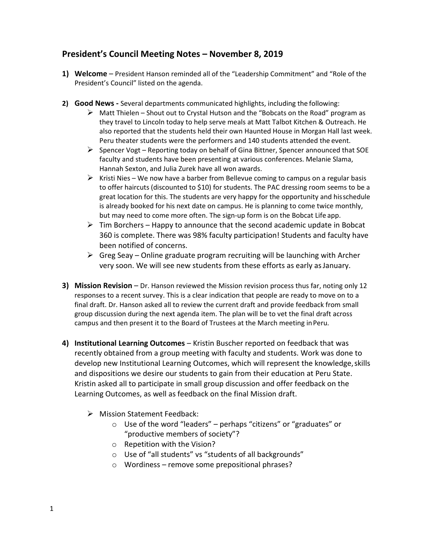# **President's Council Meeting Notes – November 8, 2019**

- **1) Welcome**  President Hanson reminded all of the "Leadership Commitment" and "Role of the President's Council" listed on the agenda.
- **2) Good News -** Several departments communicated highlights, including the following:
	- $\triangleright$  Matt Thielen Shout out to Crystal Hutson and the "Bobcats on the Road" program as they travel to Lincoln today to help serve meals at Matt Talbot Kitchen & Outreach. He also reported that the students held their own Haunted House in Morgan Hall last week. Peru theater students were the performers and 140 students attended the event.
	- $\triangleright$  Spencer Vogt Reporting today on behalf of Gina Bittner, Spencer announced that SOE faculty and students have been presenting at various conferences. Melanie Slama, Hannah Sexton, and Julia Zurek have all won awards.
	- $\triangleright$  Kristi Nies We now have a barber from Bellevue coming to campus on a regular basis to offer haircuts (discounted to \$10) for students. The PAC dressing room seems to be a great location for this. The students are very happy for the opportunity and hisschedule is already booked for his next date on campus. He is planning to come twice monthly, but may need to come more often. The sign-up form is on the Bobcat Life app.
	- $\triangleright$  Tim Borchers Happy to announce that the second academic update in Bobcat 360 is complete. There was 98% faculty participation! Students and faculty have been notified of concerns.
	- $\triangleright$  Greg Seay Online graduate program recruiting will be launching with Archer very soon. We will see new students from these efforts as early asJanuary.
- **3) Mission Revision**  Dr. Hanson reviewed the Mission revision process thus far, noting only 12 responses to a recent survey. This is a clear indication that people are ready to move on to a final draft. Dr. Hanson asked all to review the current draft and provide feedback from small group discussion during the next agenda item. The plan will be to vet the final draft across campus and then present it to the Board of Trustees at the March meeting inPeru.
- **4) Institutional Learning Outcomes**  Kristin Buscher reported on feedback that was recently obtained from a group meeting with faculty and students. Work was done to develop new Institutional Learning Outcomes, which will represent the knowledge,skills and dispositions we desire our students to gain from their education at Peru State. Kristin asked all to participate in small group discussion and offer feedback on the Learning Outcomes, as well as feedback on the final Mission draft.
	- $\triangleright$  Mission Statement Feedback:
		- o Use of the word "leaders" perhaps "citizens" or "graduates" or "productive members of society"?
		- o Repetition with the Vision?
		- o Use of "all students" vs "students of all backgrounds"
		- o Wordiness remove some prepositional phrases?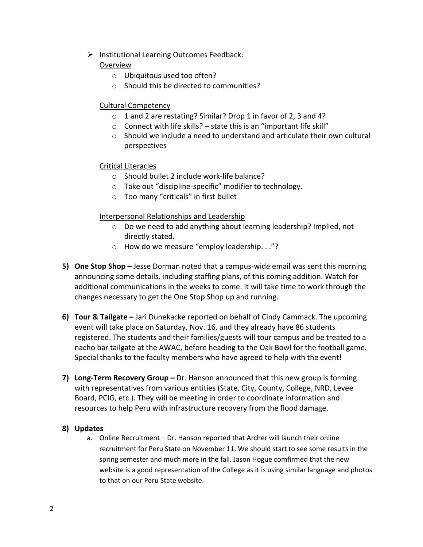$\triangleright$  Institutional Learning Outcomes Feedback:

## Overview

- o Ubiquitous used too often?
- o Should this be directed to communities?

## Cultural Competency

- o 1 and 2 are restating? Similar? Drop 1 in favor of 2, 3 and 4?
- $\circ$  Connect with life skills? state this is an "important life skill"
- $\circ$  Should we include a need to understand and articulate their own cultural perspectives

## Critical Literacies

- o Should bullet 2 include work-life balance?
- o Take out "discipline-specific" modifier to technology.
- o Too many "criticals" in first bullet

## Interpersonal Relationships and Leadership

- o Do we need to add anything about learning leadership? Implied, not directly stated.
- o How do we measure "employ leadership. . ."?
- **5) One Stop Shop –** Jesse Dorman noted that a campus-wide email was sent this morning announcing some details, including staffing plans, of this coming addition. Watch for additional communications in the weeks to come. It will take time to work through the changes necessary to get the One Stop Shop up and running.
- **6) Tour & Tailgate –** Jari Dunekacke reported on behalf of Cindy Cammack. The upcoming event will take place on Saturday, Nov. 16, and they already have 86 students registered. The students and their families/guests will tour campus and be treated to a nacho bar tailgate at the AWAC, before heading to the Oak Bowl for the football game. Special thanks to the faculty members who have agreed to help with the event!
- **7) Long-Term Recovery Group –** Dr. Hanson announced that this new group is forming with representatives from various entities (State, City, County, College, NRD, Levee Board, PCIG, etc.). They will be meeting in order to coordinate information and resources to help Peru with infrastructure recovery from the flood damage.

#### **8) Updates**

a. Online Recruitment – Dr. Hanson reported that Archer will launch their online recruitment for Peru State on November 11. We should start to see some results in the spring semester and much more in the fall. Jason Hogue comfirmed that the new website is a good representation of the College as it is using similar language and photos to that on our Peru State website.